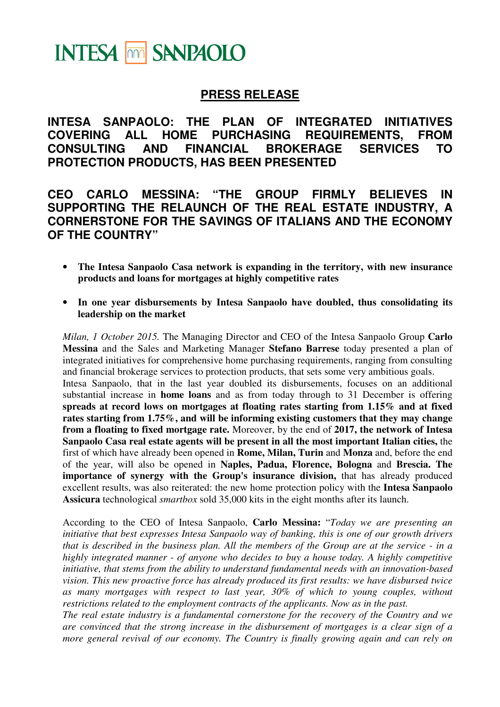# **INTESA MM SANPAOLO**

## **PRESS RELEASE**

**INTESA SANPAOLO: THE PLAN OF INTEGRATED INITIATIVES COVERING ALL HOME PURCHASING REQUIREMENTS, FROM CONSULTING AND FINANCIAL BROKERAGE SERVICES TO PROTECTION PRODUCTS, HAS BEEN PRESENTED** 

**CEO CARLO MESSINA: "THE GROUP FIRMLY BELIEVES IN SUPPORTING THE RELAUNCH OF THE REAL ESTATE INDUSTRY, A CORNERSTONE FOR THE SAVINGS OF ITALIANS AND THE ECONOMY OF THE COUNTRY"** 

- **The Intesa Sanpaolo Casa network is expanding in the territory, with new insurance products and loans for mortgages at highly competitive rates**
- **In one year disbursements by Intesa Sanpaolo have doubled, thus consolidating its leadership on the market**

*Milan, 1 October 2015.* The Managing Director and CEO of the Intesa Sanpaolo Group **Carlo Messina** and the Sales and Marketing Manager **Stefano Barrese** today presented a plan of integrated initiatives for comprehensive home purchasing requirements, ranging from consulting and financial brokerage services to protection products, that sets some very ambitious goals. Intesa Sanpaolo, that in the last year doubled its disbursements, focuses on an additional substantial increase in **home loans** and as from today through to 31 December is offering **spreads at record lows on mortgages at floating rates starting from 1.15% and at fixed rates starting from 1.75%, and will be informing existing customers that they may change from a floating to fixed mortgage rate.** Moreover, by the end of **2017, the network of Intesa Sanpaolo Casa real estate agents will be present in all the most important Italian cities,** the first of which have already been opened in **Rome, Milan, Turin** and **Monza** and, before the end of the year, will also be opened in **Naples, Padua, Florence, Bologna** and **Brescia. The importance of synergy with the Group's insurance division,** that has already produced excellent results, was also reiterated: the new home protection policy with the **Intesa Sanpaolo Assicura** technological *smartbox* sold 35,000 kits in the eight months after its launch.

According to the CEO of Intesa Sanpaolo, **Carlo Messina:** "*Today we are presenting an initiative that best expresses Intesa Sanpaolo way of banking, this is one of our growth drivers that is described in the business plan. All the members of the Group are at the service - in a highly integrated manner - of anyone who decides to buy a house today. A highly competitive initiative, that stems from the ability to understand fundamental needs with an innovation-based vision. This new proactive force has already produced its first results: we have disbursed twice as many mortgages with respect to last year, 30% of which to young couples, without restrictions related to the employment contracts of the applicants. Now as in the past.* 

*The real estate industry is a fundamental cornerstone for the recovery of the Country and we are convinced that the strong increase in the disbursement of mortgages is a clear sign of a more general revival of our economy. The Country is finally growing again and can rely on*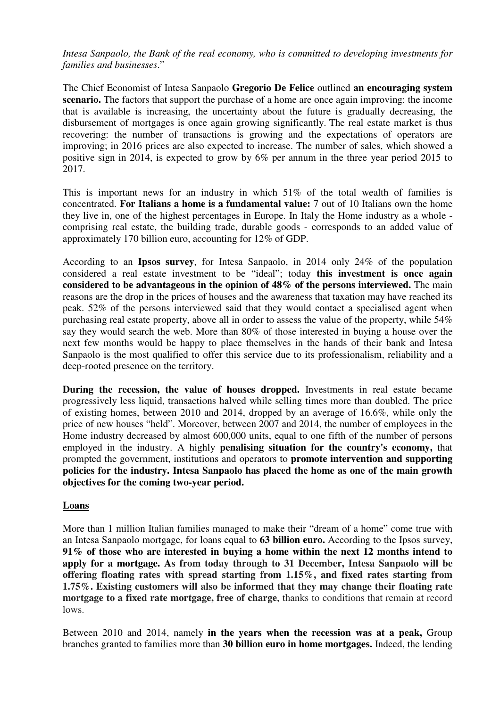*Intesa Sanpaolo, the Bank of the real economy, who is committed to developing investments for families and businesses*."

The Chief Economist of Intesa Sanpaolo **Gregorio De Felice** outlined **an encouraging system scenario.** The factors that support the purchase of a home are once again improving: the income that is available is increasing, the uncertainty about the future is gradually decreasing, the disbursement of mortgages is once again growing significantly. The real estate market is thus recovering: the number of transactions is growing and the expectations of operators are improving; in 2016 prices are also expected to increase. The number of sales, which showed a positive sign in 2014, is expected to grow by 6% per annum in the three year period 2015 to 2017.

This is important news for an industry in which 51% of the total wealth of families is concentrated. **For Italians a home is a fundamental value:** 7 out of 10 Italians own the home they live in, one of the highest percentages in Europe. In Italy the Home industry as a whole comprising real estate, the building trade, durable goods - corresponds to an added value of approximately 170 billion euro, accounting for 12% of GDP.

According to an **Ipsos survey**, for Intesa Sanpaolo, in 2014 only 24% of the population considered a real estate investment to be "ideal"; today **this investment is once again considered to be advantageous in the opinion of 48% of the persons interviewed.** The main reasons are the drop in the prices of houses and the awareness that taxation may have reached its peak. 52% of the persons interviewed said that they would contact a specialised agent when purchasing real estate property, above all in order to assess the value of the property, while 54% say they would search the web. More than 80% of those interested in buying a house over the next few months would be happy to place themselves in the hands of their bank and Intesa Sanpaolo is the most qualified to offer this service due to its professionalism, reliability and a deep-rooted presence on the territory.

**During the recession, the value of houses dropped.** Investments in real estate became progressively less liquid, transactions halved while selling times more than doubled. The price of existing homes, between 2010 and 2014, dropped by an average of 16.6%, while only the price of new houses "held". Moreover, between 2007 and 2014, the number of employees in the Home industry decreased by almost 600,000 units, equal to one fifth of the number of persons employed in the industry. A highly **penalising situation for the country's economy,** that prompted the government, institutions and operators to **promote intervention and supporting policies for the industry. Intesa Sanpaolo has placed the home as one of the main growth objectives for the coming two-year period.**

### **Loans**

More than 1 million Italian families managed to make their "dream of a home" come true with an Intesa Sanpaolo mortgage, for loans equal to **63 billion euro.** According to the Ipsos survey, **91% of those who are interested in buying a home within the next 12 months intend to apply for a mortgage. As from today through to 31 December, Intesa Sanpaolo will be offering floating rates with spread starting from 1.15%, and fixed rates starting from 1.75%. Existing customers will also be informed that they may change their floating rate mortgage to a fixed rate mortgage, free of charge**, thanks to conditions that remain at record lows.

Between 2010 and 2014, namely **in the years when the recession was at a peak,** Group branches granted to families more than **30 billion euro in home mortgages.** Indeed, the lending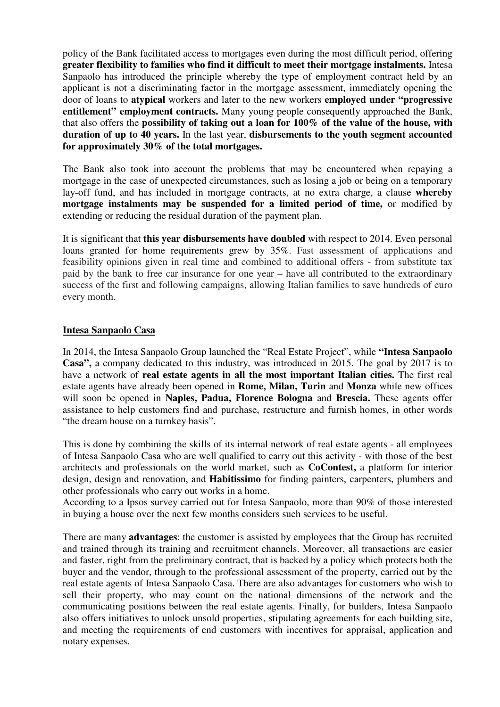policy of the Bank facilitated access to mortgages even during the most difficult period, offering **greater flexibility to families who find it difficult to meet their mortgage instalments.** Intesa Sanpaolo has introduced the principle whereby the type of employment contract held by an applicant is not a discriminating factor in the mortgage assessment, immediately opening the door of loans to **atypical** workers and later to the new workers **employed under "progressive entitlement" employment contracts.** Many young people consequently approached the Bank, that also offers the **possibility of taking out a loan for 100% of the value of the house, with duration of up to 40 years.** In the last year, **disbursements to the youth segment accounted for approximately 30% of the total mortgages.**

The Bank also took into account the problems that may be encountered when repaying a mortgage in the case of unexpected circumstances, such as losing a job or being on a temporary lay-off fund, and has included in mortgage contracts, at no extra charge, a clause **whereby mortgage instalments may be suspended for a limited period of time,** or modified by extending or reducing the residual duration of the payment plan.

It is significant that **this year disbursements have doubled** with respect to 2014. Even personal loans granted for home requirements grew by 35%. Fast assessment of applications and feasibility opinions given in real time and combined to additional offers - from substitute tax paid by the bank to free car insurance for one year – have all contributed to the extraordinary success of the first and following campaigns, allowing Italian families to save hundreds of euro every month.

#### **Intesa Sanpaolo Casa**

In 2014, the Intesa Sanpaolo Group launched the "Real Estate Project", while **"Intesa Sanpaolo Casa",** a company dedicated to this industry, was introduced in 2015. The goal by 2017 is to have a network of **real estate agents in all the most important Italian cities.** The first real estate agents have already been opened in **Rome, Milan, Turin** and **Monza** while new offices will soon be opened in **Naples, Padua, Florence Bologna** and **Brescia.** These agents offer assistance to help customers find and purchase, restructure and furnish homes, in other words "the dream house on a turnkey basis".

This is done by combining the skills of its internal network of real estate agents - all employees of Intesa Sanpaolo Casa who are well qualified to carry out this activity - with those of the best architects and professionals on the world market, such as **CoContest,** a platform for interior design, design and renovation, and **Habitissimo** for finding painters, carpenters, plumbers and other professionals who carry out works in a home.

According to a Ipsos survey carried out for Intesa Sanpaolo, more than 90% of those interested in buying a house over the next few months considers such services to be useful.

There are many **advantages**: the customer is assisted by employees that the Group has recruited and trained through its training and recruitment channels. Moreover, all transactions are easier and faster, right from the preliminary contract, that is backed by a policy which protects both the buyer and the vendor, through to the professional assessment of the property, carried out by the real estate agents of Intesa Sanpaolo Casa. There are also advantages for customers who wish to sell their property, who may count on the national dimensions of the network and the communicating positions between the real estate agents. Finally, for builders, Intesa Sanpaolo also offers initiatives to unlock unsold properties, stipulating agreements for each building site, and meeting the requirements of end customers with incentives for appraisal, application and notary expenses.